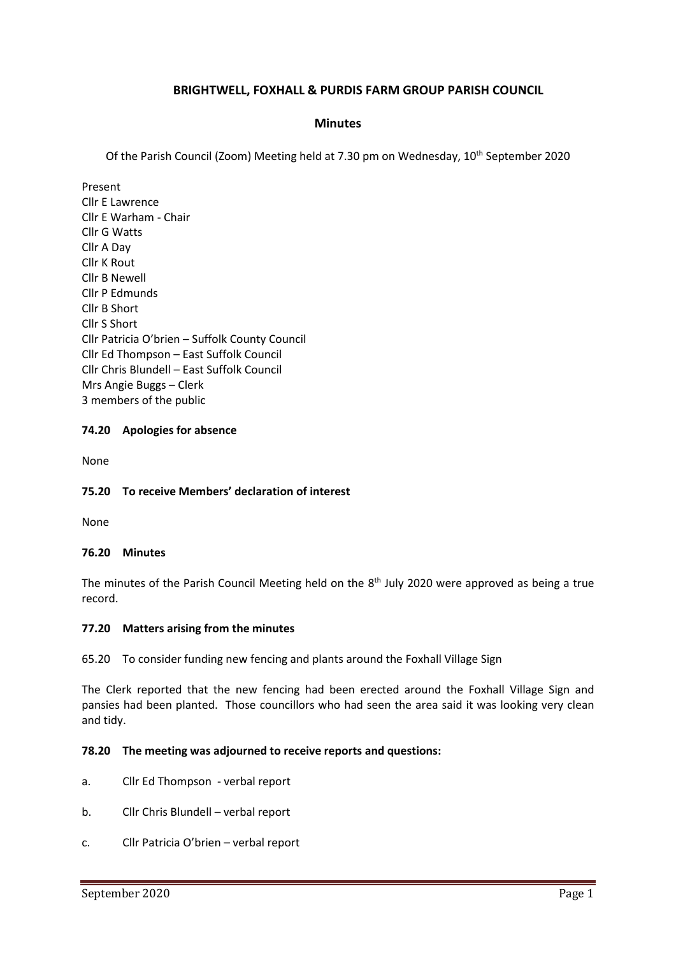## **BRIGHTWELL, FOXHALL & PURDIS FARM GROUP PARISH COUNCIL**

### **Minutes**

Of the Parish Council (Zoom) Meeting held at 7.30 pm on Wednesday, 10<sup>th</sup> September 2020

Present Cllr E Lawrence Cllr E Warham - Chair Cllr G Watts Cllr A Day Cllr K Rout Cllr B Newell Cllr P Edmunds Cllr B Short Cllr S Short Cllr Patricia O'brien – Suffolk County Council Cllr Ed Thompson – East Suffolk Council Cllr Chris Blundell – East Suffolk Council Mrs Angie Buggs – Clerk 3 members of the public

### **74.20 Apologies for absence**

None

#### **75.20 To receive Members' declaration of interest**

None

#### **76.20 Minutes**

The minutes of the Parish Council Meeting held on the 8<sup>th</sup> July 2020 were approved as being a true record.

#### **77.20 Matters arising from the minutes**

65.20 To consider funding new fencing and plants around the Foxhall Village Sign

The Clerk reported that the new fencing had been erected around the Foxhall Village Sign and pansies had been planted. Those councillors who had seen the area said it was looking very clean and tidy.

#### **78.20 The meeting was adjourned to receive reports and questions:**

- a. Cllr Ed Thompson verbal report
- b. Cllr Chris Blundell verbal report
- c. Cllr Patricia O'brien verbal report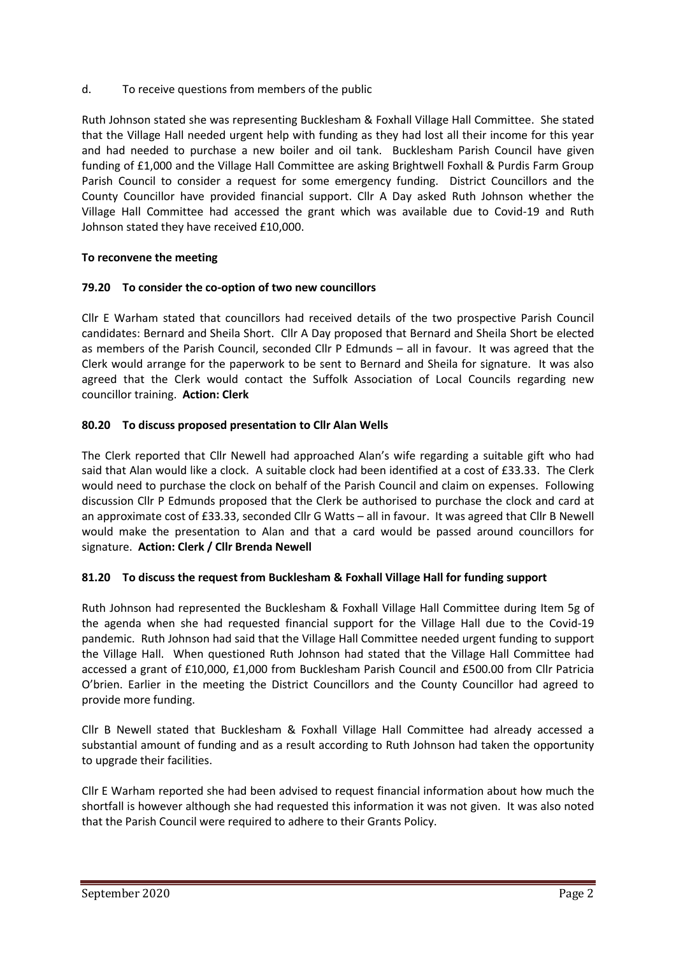d. To receive questions from members of the public

Ruth Johnson stated she was representing Bucklesham & Foxhall Village Hall Committee. She stated that the Village Hall needed urgent help with funding as they had lost all their income for this year and had needed to purchase a new boiler and oil tank. Bucklesham Parish Council have given funding of £1,000 and the Village Hall Committee are asking Brightwell Foxhall & Purdis Farm Group Parish Council to consider a request for some emergency funding. District Councillors and the County Councillor have provided financial support. Cllr A Day asked Ruth Johnson whether the Village Hall Committee had accessed the grant which was available due to Covid-19 and Ruth Johnson stated they have received £10,000.

## **To reconvene the meeting**

## **79.20 To consider the co-option of two new councillors**

Cllr E Warham stated that councillors had received details of the two prospective Parish Council candidates: Bernard and Sheila Short. Cllr A Day proposed that Bernard and Sheila Short be elected as members of the Parish Council, seconded Cllr P Edmunds – all in favour. It was agreed that the Clerk would arrange for the paperwork to be sent to Bernard and Sheila for signature. It was also agreed that the Clerk would contact the Suffolk Association of Local Councils regarding new councillor training. **Action: Clerk**

## **80.20 To discuss proposed presentation to Cllr Alan Wells**

The Clerk reported that Cllr Newell had approached Alan's wife regarding a suitable gift who had said that Alan would like a clock. A suitable clock had been identified at a cost of £33.33. The Clerk would need to purchase the clock on behalf of the Parish Council and claim on expenses. Following discussion Cllr P Edmunds proposed that the Clerk be authorised to purchase the clock and card at an approximate cost of £33.33, seconded Cllr G Watts – all in favour. It was agreed that Cllr B Newell would make the presentation to Alan and that a card would be passed around councillors for signature. **Action: Clerk / Cllr Brenda Newell**

## **81.20 To discuss the request from Bucklesham & Foxhall Village Hall for funding support**

Ruth Johnson had represented the Bucklesham & Foxhall Village Hall Committee during Item 5g of the agenda when she had requested financial support for the Village Hall due to the Covid-19 pandemic. Ruth Johnson had said that the Village Hall Committee needed urgent funding to support the Village Hall. When questioned Ruth Johnson had stated that the Village Hall Committee had accessed a grant of £10,000, £1,000 from Bucklesham Parish Council and £500.00 from Cllr Patricia O'brien. Earlier in the meeting the District Councillors and the County Councillor had agreed to provide more funding.

Cllr B Newell stated that Bucklesham & Foxhall Village Hall Committee had already accessed a substantial amount of funding and as a result according to Ruth Johnson had taken the opportunity to upgrade their facilities.

Cllr E Warham reported she had been advised to request financial information about how much the shortfall is however although she had requested this information it was not given. It was also noted that the Parish Council were required to adhere to their Grants Policy.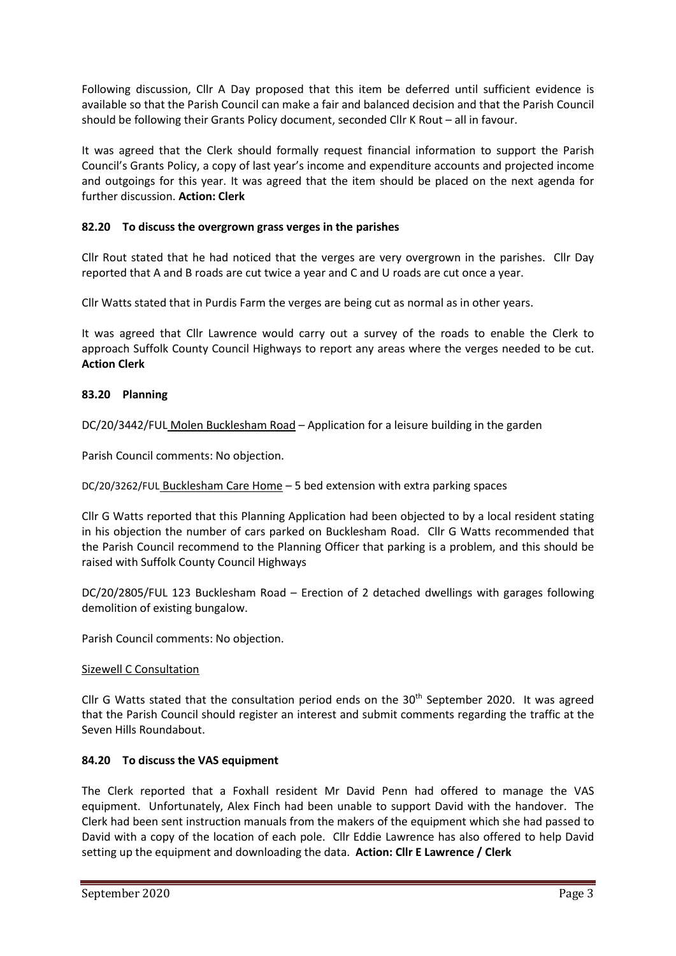Following discussion, Cllr A Day proposed that this item be deferred until sufficient evidence is available so that the Parish Council can make a fair and balanced decision and that the Parish Council should be following their Grants Policy document, seconded Cllr K Rout – all in favour.

It was agreed that the Clerk should formally request financial information to support the Parish Council's Grants Policy, a copy of last year's income and expenditure accounts and projected income and outgoings for this year. It was agreed that the item should be placed on the next agenda for further discussion. **Action: Clerk**

## **82.20 To discuss the overgrown grass verges in the parishes**

Cllr Rout stated that he had noticed that the verges are very overgrown in the parishes. Cllr Day reported that A and B roads are cut twice a year and C and U roads are cut once a year.

Cllr Watts stated that in Purdis Farm the verges are being cut as normal as in other years.

It was agreed that Cllr Lawrence would carry out a survey of the roads to enable the Clerk to approach Suffolk County Council Highways to report any areas where the verges needed to be cut. **Action Clerk**

## **83.20 Planning**

DC/20/3442/FUL Molen Bucklesham Road – Application for a leisure building in the garden

Parish Council comments: No objection.

DC/20/3262/FUL Bucklesham Care Home – 5 bed extension with extra parking spaces

Cllr G Watts reported that this Planning Application had been objected to by a local resident stating in his objection the number of cars parked on Bucklesham Road. Cllr G Watts recommended that the Parish Council recommend to the Planning Officer that parking is a problem, and this should be raised with Suffolk County Council Highways

DC/20/2805/FUL 123 Bucklesham Road – Erection of 2 detached dwellings with garages following demolition of existing bungalow.

Parish Council comments: No objection.

#### Sizewell C Consultation

Cllr G Watts stated that the consultation period ends on the  $30<sup>th</sup>$  September 2020. It was agreed that the Parish Council should register an interest and submit comments regarding the traffic at the Seven Hills Roundabout.

#### **84.20 To discuss the VAS equipment**

The Clerk reported that a Foxhall resident Mr David Penn had offered to manage the VAS equipment. Unfortunately, Alex Finch had been unable to support David with the handover. The Clerk had been sent instruction manuals from the makers of the equipment which she had passed to David with a copy of the location of each pole. Cllr Eddie Lawrence has also offered to help David setting up the equipment and downloading the data. **Action: Cllr E Lawrence / Clerk**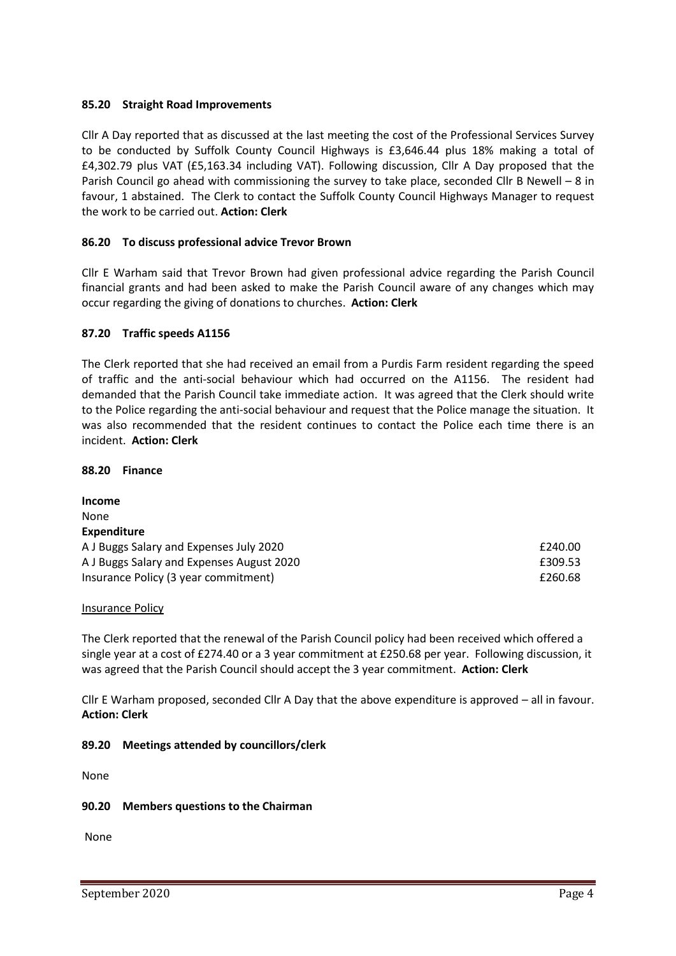### **85.20 Straight Road Improvements**

Cllr A Day reported that as discussed at the last meeting the cost of the Professional Services Survey to be conducted by Suffolk County Council Highways is £3,646.44 plus 18% making a total of £4,302.79 plus VAT (£5,163.34 including VAT). Following discussion, Cllr A Day proposed that the Parish Council go ahead with commissioning the survey to take place, seconded Cllr B Newell – 8 in favour, 1 abstained. The Clerk to contact the Suffolk County Council Highways Manager to request the work to be carried out. **Action: Clerk**

### **86.20 To discuss professional advice Trevor Brown**

Cllr E Warham said that Trevor Brown had given professional advice regarding the Parish Council financial grants and had been asked to make the Parish Council aware of any changes which may occur regarding the giving of donations to churches. **Action: Clerk**

#### **87.20 Traffic speeds A1156**

The Clerk reported that she had received an email from a Purdis Farm resident regarding the speed of traffic and the anti-social behaviour which had occurred on the A1156. The resident had demanded that the Parish Council take immediate action. It was agreed that the Clerk should write to the Police regarding the anti-social behaviour and request that the Police manage the situation. It was also recommended that the resident continues to contact the Police each time there is an incident. **Action: Clerk**

#### **88.20 Finance**

**Income** None **Expenditure** A J Buggs Salary and Expenses July 2020 **EXPENSION EXPENSION E240.00** A J Buggs Salary and Expenses August 2020 **EXPENSION EXPENSION** E309.53 Insurance Policy (3 year commitment) **EXECUTE:** 1.1 The state of the state of the state of the state of the state of the state of the state of the state of the state of the state of the state of the state of the state of t

#### Insurance Policy

The Clerk reported that the renewal of the Parish Council policy had been received which offered a single year at a cost of £274.40 or a 3 year commitment at £250.68 per year. Following discussion, it was agreed that the Parish Council should accept the 3 year commitment. **Action: Clerk**

Cllr E Warham proposed, seconded Cllr A Day that the above expenditure is approved – all in favour. **Action: Clerk**

**89.20 Meetings attended by councillors/clerk**

None

#### **90.20 Members questions to the Chairman**

None